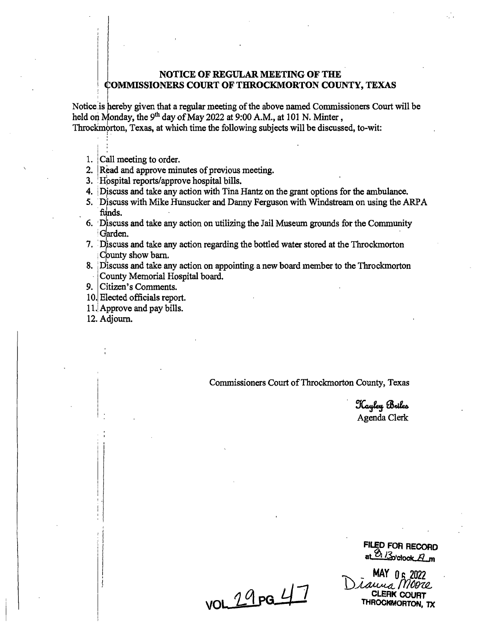## **NOTICE OF REGULAR MEETING OF THE**  <sup>1</sup>**OMMISSIONERS COURT OF THROCKMORTON COUNTY, TEXAS**

Notice is hereby given that a regular meeting of the above named Commissioners Court will be held on Monday, the 9<sup>th</sup> day of May 2022 at 9:00 A.M., at 101 N. Minter, Throckmorton, Texas, at which time the following subjects will be discussed, to-wit:

1. Call meeting to order.

'

- 2. Read and approve minutes of previous meeting.
- 3. Hospital reports/approve hospital bills.
- 4. Discuss and take any action with Tina Hantz on the grant options for the ambulance.
- *5.* · Djscuss with Mike Hunsucker and Danny Ferguson with Windstream on using the ARP A funds.
- 6. 'Discuss and take any action on utilizing the Jail Museum grounds for the Community 'Garden.
- 7. Discuss and take any action regarding the bottled water stored at the Throckmorton County show barn.
- 8. 'Discuss and take any action on appointing. a new board member to the Throckmorton County Memorial Hospital board.
- 9. Citizen's Comments.
- 10. Elected officials report.
- 11. Approve and pay bills.
- 12. Adjourn.

Commissioners Court of Throckmorton County, Texas

Kayley Briles Agenda Clerk

**FILED FOR RECORD at** 0i *ll,•~ock..ll..m* 

MAY 0 6 2022<br>D*iauus Moore* CLERK COURT THROCKMORTON, TX

 $v$ OL 29pg 47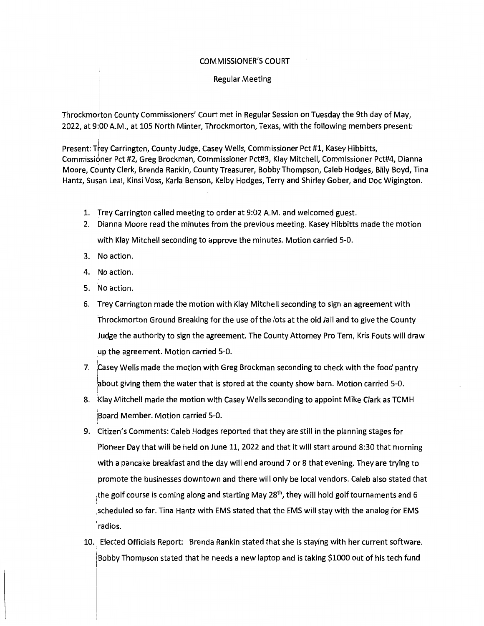## COMMISSIONER'S COURT

## Regular Meeting

Throckmorton County Commissioners' Court met in Regular Session on Tuesday the 9th day of May, 2022, at 9:bo A.M., at 105 North Minter, Throckmorton, Texas, with the following members present:

Present: Trey Carrington, County Judge, Casey Wells, Commissioner Pct #1, Kasey Hibbitts, Commissidner Pct #2, Greg Brockman, Commissioner Pct#3, Klay Mitchell, Commissioner Pct#4, Dianna Moore, County Clerk, Brenda Rankin, County Treasurer, Bobby Thompson, Caleb Hodges, Billy Boyd, Tina Hantz, Susan Leal, Kinsi Voss, Karla Benson, Kelby Hodges, Terry and Shirley Gober, and Doc Wigington.

- 1. Trey Carrington called meeting to order at 9:02 A.M. and welcomed guest.
- 2. Dianna Moore read the minutes from the previous meeting. Kasey Hibbitts made the motion with Klay Mitchell seconding to approve the minutes. Motion carried 5-0.
- 3. No action.
- 4. No action.
- 5. 'No action.
- 6. Trey Carrington made the motion with Klay Mitchell seconding to sign an agreement with Throckmorton Ground Breaking for the use of the lots at the old Jail and to give the County Judge the authority to sign the agreement. The County Attorney Pro Tem, Kris Fouts will draw up the agreement. Motion carried 5-0.
- 7. Casey Wells made the motion with Greg Brockman seconding to check with the food pantry about giving them the water that is stored at the county show barn. Motion carried 5-0.
- 8. Klay Mitchell made the motion with Casey Wells seconding to appoint Mike Clark as TCMH iBoard Member. Motion carried 5-0.
- 9. !citizen's Comments: Caleb Hodges reported that they are still in the planning stages for Pioneer Day that will be held on June 11, 2022 and that it will start around 8:30 that morning with a pancake breakfast and the day will end around 7 or 8 that evening. They are trying to promote the businesses downtown and there will only be local vendors. Caleb also stated that the golf course is coming along and starting May 28<sup>th</sup>, they will hold golf tournaments and 6 scheduled so far. Tina Hantz with EMS stated that the EMS will stay with the analog for EMS 'radios.
- 10. Elected Officials Report: Brenda Rankin stated that she is staying with her current software. Bobby Thompson stated that he needs a new laptop and is taking \$1000 out of his tech fund